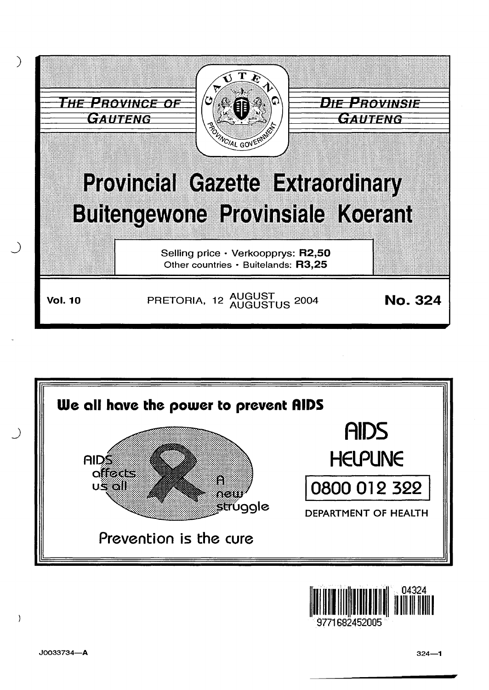





J0033734-A

 $\lambda$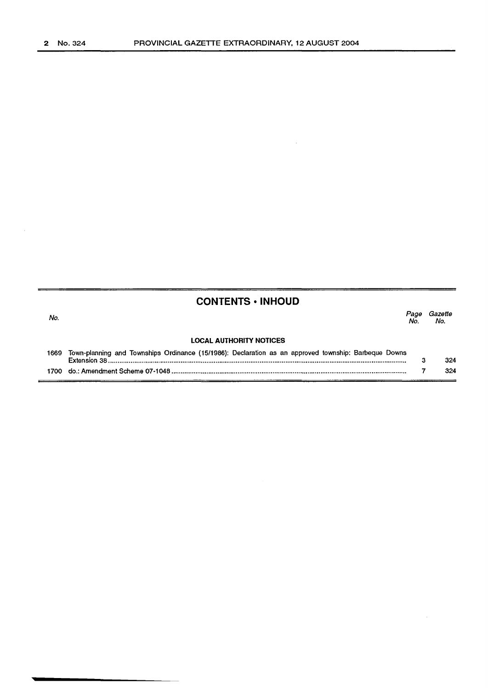# **CONTENTS • INHOUD**

No. Page Gazette Page Gazette<br>No. No. **LOCAL AUTHORITY NOTICES**  1669 Town-planning and Townships Ordinance (15/1986): Declaration as an approved township: Barbeque Downs  $\overline{a}$ 324

| 700 | : Amendment Scheme 07-1048.<br>do.: | . |
|-----|-------------------------------------|---|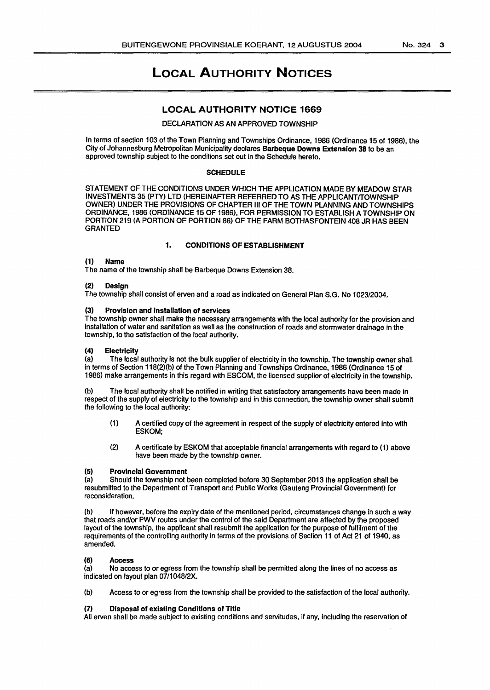#### No.324 3

# LOCAL AUTHORITY NOTICES

# LOCAL AUTHORITY NOTICE 1669

## DECLARATION AS AN APPROVED TOWNSHIP

In terms of section 103 of the Town Planning and Townships Ordinance, 1986 (Ordinance 15 of 1986), the City of Johannesburg Metropolitan Municipality declares Barbeque Downs Extension 38 to be an approved township subject to the conditions set out in the Schedule hereto.

#### SCHEDULE

STATEMENT OF THE CONDITIONS UNDER WHICH THE APPLICATION MADE BY MEADOW STAR INVESTMENTS 35 (PTY) LTD (HEREINAFTER REFERRED TO AS THE APPLICANT/TOWNSHIP OWNER) UNDER THE PROVISIONS OF CHAPTER Ill OF THE TOWN PLANNING AND TOWNSHIPS ORDINANCE, 1986 (ORDINANCE 15 OF 1986), FOR PERMISSION TO ESTABLISH A TOWNSHIP ON PORTION 219 (A PORTION OF PORTION 86) OF THE FARM BOTHASFONTEIN 408 JR HAS BEEN GRANTED

#### 1. CONDITIONS OF ESTABLISHMENT

### (1) Name

The name of the township shall be Barbeque Downs Extension 38.

#### (2) Design

The township shall consist of erven and a road as indicated on General Plan S.G. No 1023/2004.

#### (3) Provision and installation of services

The township owner shall make the necessary arrangements with the local authority for the provision and installation of water and sanitation as well as the construction of roads and stormwater drainage in the township, to the satisfaction of the local authority.

#### (4) Electricity

(a) The local authority is not the bulk supplier of electricity in the township. The township owner shall in terms of Section 118(2)(b) of the Town Planning and Townships Ordinance, 1986 (Ordinance 15 of 1986) make arrangements in this regard with ESCOM, the licensed supplier of electricity in the township.

(b) The local authority shall be notified in writing that satisfactory arrangements have been made in respect of the supply of electricity to the township and in this connection, the township owner shall submit the following to the local authority:

- (1) A certified copy of the agreement in respect of the supply of electricity entered into with ESKOM;
- (2) A certificate by ESKOM that acceptable financial arrangements with regard to (1) above have been made by the township owner.

#### (5) Provincial Government

(a) Should the township not been completed before 30 September 2013 the application shall be resubmitted to the Department of Transport and Public Works (Gauteng Provincial Government) for reconsideration.

(b) If however, before the expiry date of the mentioned period, circumstances change in such a way that roads and/or PWV routes under the control of the said Department are affected by the proposed layout of the township, the applicant shall resubmit the application for the purpose of fulfilment of the requirements of the controlling authority in terms of the provisions of Section 11 of Act 21 of 1940, as amended.

#### (6) Access

(a) No access to or egress from the township shall be permitted along the lines of no access as indicated on layout plan 07/1048/2X.

(b) Access to or egress from the township shall be provided to the satisfaction of the local authority.

#### (7) Disposal of existing Conditions of Title

All erven shall be made subject to existing conditions and servitudes, if any, including the reservation of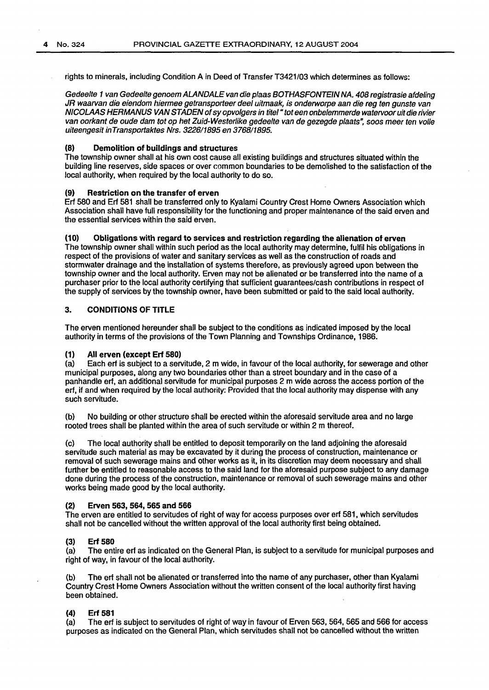rights to minerals, including Condition A in Deed of Transfer T3421/03 which determines as follows:

Gedeelte 1 van Gedeelte genoem ALAN DALE van die plaas BOTHASFONTEIN NA. *408* registrasie afdeling JR waarvan die eiendom hiermee getransporteer deel uitmaak, is onderworpe aan die reg ten gunste van NICOLAAS HERMANUS VAN STADEN of sy opvolgers in titel "tot een onbelemmerde watervoor uit die rivier van oorkant de oude dam tot op het Zuid-Westerlike gedeelte van de gezegde plaat5", 5005 meer ten volle uiteengesit inTran5portaktes Nr5. *322611895* en *3768!1895.* 

## (8) Demolition of buildings and structures

The township owner shall at his own cost cause all existing buildings and structures situated within the building line reserves, side spaces or over common boundaries to be demolished to the satisfaction of the local authority, when required by the local authority to do so.

## (9) Restriction on the transfer of erven

Erf 580 and Erf 581 shall be transferred only to Kyalami Country Crest Home Owners Association which Association shall have full responsibility for the functioning and proper maintenance of the said erven and the essential services within the said erven.

## (10) Obligations with regard to services and restriction regarding the alienation of erven

The township owner shall within such period as the local authority may determine, fulfil his obligations in respect of the provisions of water and sanitary services as well as the construction of roads and stormwater drainage and the installation of systems therefore, as previously agreed upon between the township owner and the local authority. Erven may not be alienated or be transferred into the name of a purchaser prior to the local authority certifying that sufficient guarantees/cash contributions in respect of the supply of services by the township owner, have been submitted or paid to the said local authority.

## 3. CONDITIONS OF TITLE

The erven mentioned hereunder shall be subject to the conditions as indicated imposed by the local authority in terms of the provisions of the Town Planning and Townships Ordinance, 1986.

#### (1) All erven (except Erf 580)

(a) Each erf is subject to a servitude, 2 m wide, in favour of the local authority, for sewerage and other municipal purposes, along any two boundaries other than a street boundary and in the case of a panhandle erf, an additional servitude for municipal purposes 2 m wide across the access portion of the erf, if and when required by the local authority: Provided that the local authority may dispense with any such servitude.

(b) No building or other structure shall be erected within the aforesaid servitude area and no large rooted trees shall be planted within the area of such servitude or within 2 m thereof.

(c) The local authority shall be entitled to deposit temporarily on the land adjoining the aforesaid servitude such material as may be excavated by it during the process of construction, maintenance or removal of such sewerage mains and other works as it, in its discretion may deem necessary and shall further be entitled to reasonable access to the said land for the aforesaid purpose subject to any damage done during the process of the construction, maintenance or removal of such sewerage mains and other works being made good by the local authority.

#### (2) Erven 563, 564, 565 and 566

The erven are entitled to servitudes of right of way for access purposes over erf 581, which servitudes shall not be cancelled without the written approval of the local authority first being obtained.

#### (3) Erf 580

(a) The entire erf as indicated on the General Plan, is subject to a servitude for municipal purposes and right of way, in favour of the local authority.

(b) The erf shall not be alienated or transferred into the name of any purchaser, other than Kyalami Country Crest Home Owners Association without the written consent of the local authority first having been obtained.

## (4) Erf 581

(a} The erf is subject to servitudes of right of way in favour of Erven 563, 564, 565 and 566 for access purposes as indicated on the General Plan, which servitudes shall not be cancelled without the written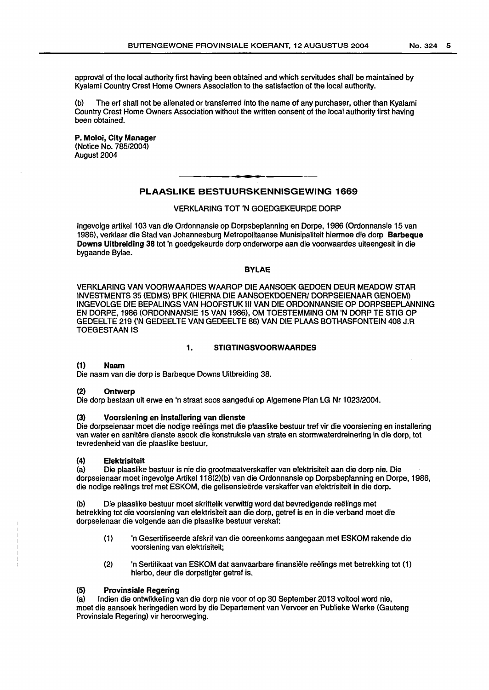approval of the local authority first having been obtained and which servitudes shall be maintained by Kyalami Country Crest Home Owners Association to the satisfaction of the local authority.

(b) The erf shall not be alienated or transferred into the name of any purchaser, other than Kyalami Country Crest Home Owners Association without the written consent of the local authority first having been obtained.

P. Moloi, City Manager (Notice No. 785/2004) August 2004

# PLAASLIKE BESTUURSKENNISGEWING 1669

## VERKLARING TOT 'N GOEDGEKEURDE DORP

lngevolge artikel103 van die Ordonnansie op Dorpsbeplanning en Dorpe, 1986 (Ordonnansie 15 van 1986), verklaar die Stad van Johannesburg Metropolitaanse Munisipaliteit hiermee die dorp Barbeque Downs Ultbrelding 38 tot 'n goedgekeurde dorp onderworpe aan die voorwaardes uiteengesit in die bygaande Bylae.

#### BYLAE

VERKLARING VAN VOORW AARDES W AAROP DIE AANSOEK GEDOEN DEUR MEADOW STAR INVESTMENTS 35 (EDMS) BPK (HIERNA DIE AANSOEKDOENER/ DORPSEIENAAR GENOEM) INGEVOLGE DIE BEPALINGS VAN HOOFSTUK Ill VAN DIE ORDONNANSIE OP DORPSBEPLANNING EN DORPE, 1986 (ORDONNANSIE 15 VAN 1986), OM TOESTEMMING OM 'N DORP TE STIG OP GEDEELTE 219 ('N GEDEELTE VAN GEDEELTE 86) VAN DIE PLAAS BOTHASFONTEIN 408J.R TOEGESTAANIS

## 1. STIGTINGSVOORWAARDES

#### (1) Naam

Die naam van die dorp is Barbeque Downs Uitbreiding 38.

#### (2) Ontwerp

Die dorp bestaan uit erwe en 'n straat soos aangedui op Algemene Plan LG Nr 1023/2004.

#### (3) Voorslening en lnstallering van dienste

Die dorpseienaar meet die nodige reelings met die plaaslike bestuur tref vir die voorsiening en installering van water en sanitere dienste asook die konstruksie van strate en stormwaterdreinering in die dorp, tot tevredenheid van die plaaslike bestuur.

## (4) Elektrisiteit

(a) Die plaaslike bestuur is nie die grootmaatverskaffer van elektrisiteit aan die dorp nie. Die dorpseienaar moet ingevolge Artikel 118(2)(b) van die Ordonnansie op Dorpsbeplanning en Dorpe, 1986, die nodige reelings tref met ESKOM, die gelisensieerde verskaffer van elektrisiteit in die dorp.

(b) Die plaaslike bestuur moet skriftelik verwittig word dat bevredigende reëlings met betrekking tot die voorsiening van elektrisiteit aan die dorp, getref is en in die verband moet die dorpseienaar die volgende aan die plaaslike bestuur verskaf:

- (1) 'n Gesertifiseerde afskrif van die ooreenkoms aangegaan met ESKOM rakende die voorsiening van elektrisiteit;
- (2) 'n Sertifikaat van ESKOM dat aanvaarbare finansiele reelings met betrekking tot (1) hierbo, deur die dorpstigter getref is.

#### (5) Provinsiale Regering

(a) lndien die ontwikkeling van die dorp nie voor of op 30 September 2013 voltooi word nie, moet die aansoek heringedien word by die Departement van Vervoer en Publieke Werke (Gauteng Provinsiale Regering) vir heroorweging.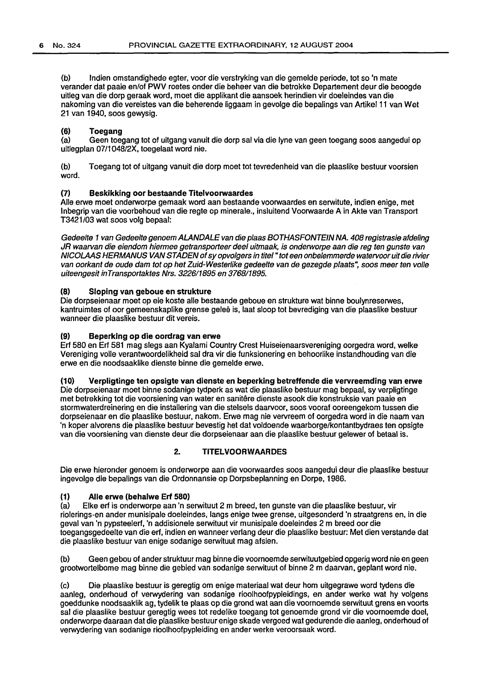(b) lndien omstandighede egter, voor die verstryking van die gemelde periode, tot so 'n mate verander dat paaie en/of PWV roetes onder die beheer van die betrokke Oepartement deur die beoogde uitleg van die dorp geraak word, moet die applikant die aansoek herindien vir doeleindes van die nakoming van die vereistes van die beherende liggaam in gevolge die bepalings van Artikel11 van Wet 21 van 1940, soos gewysig.

# (6) Toegang<br>(a) Geen toe

Geen toegang tot of uitgang vanuit die dorp sal via die lyne van geen toegang soos aangedui op uitlegplan 07/1048/2X, toegelaat word nie.

(b) Toegang tot of uitgang vanuit die dorp moet tot tevredenheid van die plaaslike bestuur voorsien word.

## (7) Beskikking oor bestaande Titelvoorwaardes

Aile erwe moet onderworpe gemaak word aan bestaande voorwaardes en serwitute, indien enige, met lnbegrip van die voorbehoud van die regte op minerale., insluitend Voorwaarde A in Akte van Transport T3421/03 wat soos volg bepaal:

Gedeelte 1 van Gedeelte genoem ALANDALE van die plaas BOTHASFONTEJN NA. 408 registrasie afdeling JR waarvan die eiendom hiermee getransporteer dee/ uitmaak, is onderworpe aan die reg ten gunste van NICOLAAS HER MANUS VAN STADEN of sy opvolgers in tite/" tot een onbelemmerde watervoor uit die rivier van oorkant de oude dam tot op het Zuid-Westerlike gedeelte van de gezegde plaats", soos meer ten volle uiteengesit inTransportaktes Nrs. 322611895 en 3768/1895.

## (8) Sloping van geboue en strukture

Die dorpseienaar moet op eie koste aile bestaande geboue en strukture wat binne boulynreserwes, kantruimtes of oor gemeenskaplike grense geleë is, laat sloop tot bevrediging van die plaaslike bestuur wanneer die plaaslike bestuur dit vereis.

### (9) Beperking op die oordrag van erwe

Erf 580 en Erf 581 mag slegs aan Kyalami Country Crest Huiseienaarsvereniging oorgedra word, welke Vereniging valle verantwoordelikheid sal dra vir die funksionering en behoorlike instandhouding van die erwe en die noodsaaklike dienste binne die gemelde erwe.

## (10) Verpligtinge ten opslgte van dienste en beperklng betreffende die vervreemding van erwe

Die dorpseienaar moet binne sodanige tydperk as wat die plaaslike bestuur mag bepaal, sy verpligtinge met betrekking tot die voorsiening van water en sanitere dienste asook die konstruksie van paaie en stormwaterdreinering en die installering van die stelsels daarvoor, soos vooraf ooreengekom tussen die dorpseienaar en die plaaslike bestuur, nakom. Erwe mag nie vervreem of oorgedra word in die naam van 'n koper alvorens die plaaslike bestuur bevestig het dat voldoende waarborge/kontantbydraes ten opsigte van die voorsiening van dienste deur die dorpseienaar aan die plaaslike bestuur gelewer of betaal is.

## 2. TITELVOORWAARDES

Die erwe hieronder genoem is onderworpe aan die voorwaardes soos aangedui deur die plaaslike bestuur ingevolge die bepalings van die Ordonnansie op Dorpsbeplanning en Oorpe, 1986.

#### (1) Aile erwe (behalwe Erf 580)

(a) Elke erf is onderworpe aan 'n serwituut 2 m breed, ten gunste van die plaaslike bestuur, vir riolerings-en ander munisipale doeleindes, langs enige twee grense, uitgesonderd 'n straatgrens en, in die geval van 'n pypsteelerf, 'n addisionele serwituut vir munisipale doeleindes 2m breed oor die toegangsgedeelte van die erf, indien en wanneer verlang deur die plaaslike bestuur: Met dien verstande dat die plaaslike bestuur van enige sodanige serwituut mag afsien.

(b) Geen gebou of ander struktuur mag binne die voornoemde serwituutgebied opgerig word nie en geen grootwortelbome mag binne die gebied van sodanige serwituut of binne 2m daarvan, geplant word nie.

(c) Die plaaslike bestuur is geregtig om enige materiaal wat deur hom uitgegrawe word tydens die aanleg, onderhoud of verwydering van sodanige rioolhoofpypleidings, en ander werke wat hy volgens goeddunke noodsaaklik ag, tydelik te plaas op die grond wat aan die voornoemde serwituut grens en voorts sal die plaaslike bestuur geregtig wees tot redelike toegang tot genoemde grand vir die voornoemde doel, onderworpe daaraan dat die plaaslike bestuur enige skade vergoed wat gedurende die aanleg, onderhoud of verwydering van sodanige rioolhoofpypleiding en ander werke veroorsaak word.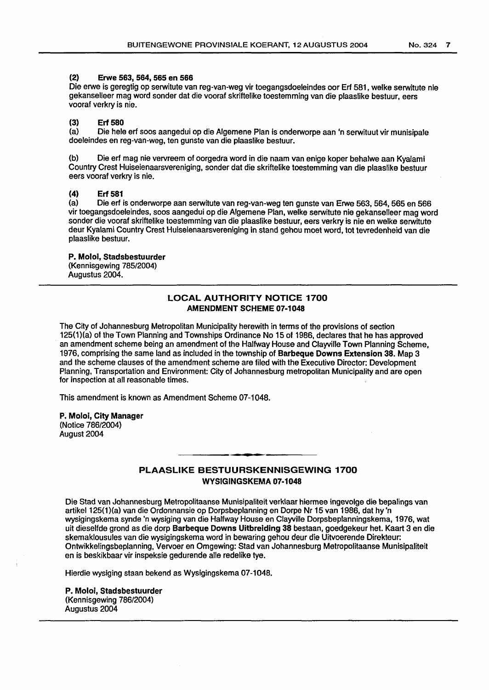## (2) Erwe 563, 564, 565 en 566

Die erwe is geregtig op serwitute van reg-van-weg vir toegangsdoeleindes oor Erf 581, welke serwitute nie gekanselleer mag word sonder dat die vooraf skriftelike toestemming van die plaaslike bestuur, eers vooraf verkry is nie.

## (3) Erf 580

(a) Die hele erf soos aangedui op die Algemene Plan is onderworpe aan 'n serwituut vir munisipale doeleindes en reg-van-weg, ten gunste van die plaaslike bestuur.

(b) Die erf mag nie vervreem of oorgedra word in die naam van enige koper behalwe aan Kyalami Country Crest Huiseienaarsvereniging, sonder dat die skriftelike toestemming van die plaaslike bestuur eers vooraf verkry is nie.

## (4) Erf 581

(a) Die erf is onderworpe aan serwitute van reg-van-weg ten gunste van Erwe 563, 564, 565 en 566 vir toegangsdoeleindes, soos aangedui op die Algemene Plan, welke serwitute nie gekanselleer mag word sander die vooraf skriftelike toestemming van die plaaslike bestuur, eers verkry is nie en welke serwitute deur Kyalami Country Crest Huiseienaarsvereniging in stand gehou moet word, tot tevredenheid van die plaaslike bestuur.

#### P. Moloi, Stadsbestuurder (Kennisgewing 785/2004) Augustus 2004.

## LOCAL AUTHORITY NOTICE 1700 AMENDMENT SCHEME 07-1048

The City of Johannesburg Metropolitan Municipality herewith in terms of the provisions of section 125(1)(a} of the Town Planning and Townships Ordinance No 15 of 1986, declares that he has approved an amendment scheme being an amendment of the Halfway House and Clayville Town Planning Scheme, 1976, comprising the same land as included in the township of Barbeque Downs Extension 38. Map 3 and the scheme clauses of the amendment scheme are filed with the Executive Director: Development Planning, Transportation and Environment: City of Johannesburg metropolitan Municipality and are open for inspection at all reasonable times.

This amendment is known as Amendment Scheme 07-1048.

#### P. Moloi, City Manager (Notice 786/2004) August 2004

# PLAASLIKE BESTUURSKENNISGEWING 1700 WYSIGINGSKEMA 07-1048

Die Stad van Johannesburg Metropolitaanse Munisipaliteit verklaar hiermee ingevolge die bepalings van artikel 125(1)(a) van die Ordonnansie op Dorpsbeplanning en Dorpe Nr 15 van 1986, dat hy 'n wysigingskema synde 'n wysiging van die Halfway House en Clayville Dorpsbeplanningskema, 1976, wat uit dieselfde grond as die dorp Barbeque Downs Uitbreiding 38 bestaan, goedgekeur het. Kaart 3 en die skemaklousules van die wysigingskema word in bewaring gehou deur die Uitvoerende Direkteur: Ontwikkelingsbeplanning, Vervoer en Omgewing: Stad van Johannesburg Metropolitaanse Munisipaliteit en is beskikbaar vir inspeksie gedurende aile redelike tye.

Hierdie wysiging staan bekend as Wysigingskema 07-1048.

P. Moloi, Stadsbestuurder (Kennisgewing 786/2004} Augustus 2004